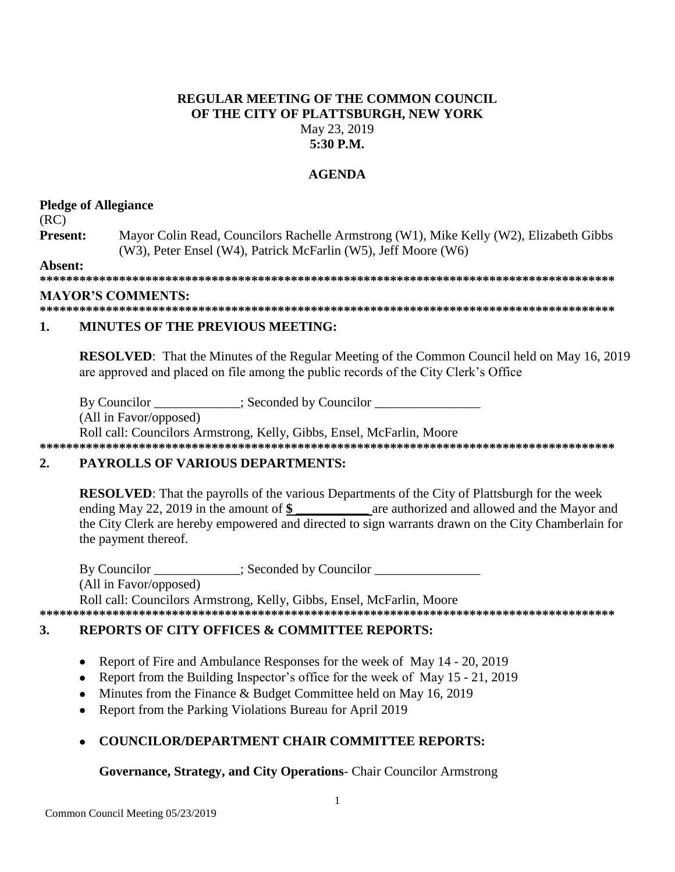### **REGULAR MEETING OF THE COMMON COUNCIL** OF THE CITY OF PLATTSBURGH, NEW YORK May 23, 2019  $5:30$  P.M.

## **AGENDA**

### **Pledge of Allegiance**

 $(RC)$ 

Present: Mayor Colin Read, Councilors Rachelle Armstrong (W1), Mike Kelly (W2), Elizabeth Gibbs (W3), Peter Ensel (W4), Patrick McFarlin (W5), Jeff Moore (W6)

Absent:

### **MAYOR'S COMMENTS:**

#### $\mathbf{1}$ **MINUTES OF THE PREVIOUS MEETING:**

**RESOLVED:** That the Minutes of the Regular Meeting of the Common Council held on May 16, 2019 are approved and placed on file among the public records of the City Clerk's Office

By Councilor \_\_\_\_\_\_\_\_\_\_\_\_; Seconded by Councilor \_\_\_\_\_\_

(All in Favor/opposed)

Roll call: Councilors Armstrong, Kelly, Gibbs, Ensel, McFarlin, Moore 

#### $2.$ **PAYROLLS OF VARIOUS DEPARTMENTS:**

**RESOLVED:** That the payrolls of the various Departments of the City of Plattsburgh for the week ending May 22, 2019 in the amount of \$ are authorized and allowed and the Mayor and the City Clerk are hereby empowered and directed to sign warrants drawn on the City Chamberlain for the payment thereof.

By Councilor : Seconded by Councilor (All in Favor/opposed) Roll call: Councilors Armstrong, Kelly, Gibbs, Ensel, McFarlin, Moore

#### $\mathbf{3}$ . **REPORTS OF CITY OFFICES & COMMITTEE REPORTS:**

- Report of Fire and Ambulance Responses for the week of May 14 20, 2019  $\bullet$
- Report from the Building Inspector's office for the week of May 15 21, 2019
- Minutes from the Finance  $\&$  Budget Committee held on May 16, 2019
- Report from the Parking Violations Bureau for April 2019

# **COUNCILOR/DEPARTMENT CHAIR COMMITTEE REPORTS:**

# **Governance, Strategy, and City Operations-** Chair Councilor Armstrong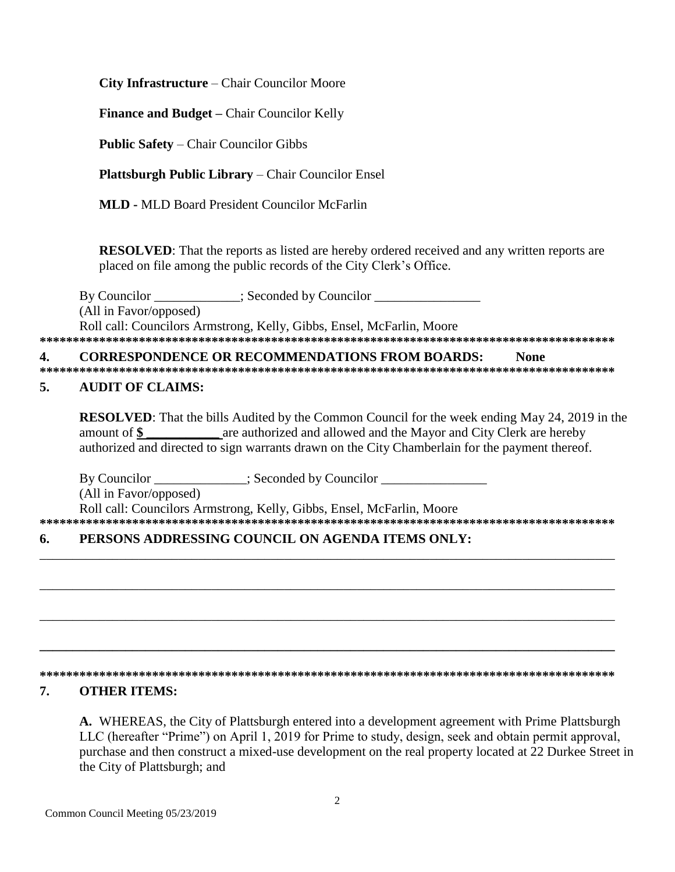**City Infrastructure** – Chair Councilor Moore

**Finance and Budget – Chair Councilor Kelly** 

**Public Safety – Chair Councilor Gibbs** 

**Plattsburgh Public Library** – Chair Councilor Ensel

**MLD - MLD Board President Councilor McFarlin** 

**RESOLVED:** That the reports as listed are hereby ordered received and any written reports are placed on file among the public records of the City Clerk's Office.

Seconded by Councilor By Councilor (All in Favor/opposed) Roll call: Councilors Armstrong, Kelly, Gibbs, Ensel, McFarlin, Moore 

#### **CORRESPONDENCE OR RECOMMENDATIONS FROM BOARDS:** 4. **None**

#### 5. **AUDIT OF CLAIMS:**

**RESOLVED:** That the bills Audited by the Common Council for the week ending May 24, 2019 in the are authorized and allowed and the Mayor and City Clerk are hereby amount of  $\$\$ authorized and directed to sign warrants drawn on the City Chamberlain for the payment thereof.

By Councilor : Seconded by Councilor

(All in Favor/opposed)

Roll call: Councilors Armstrong, Kelly, Gibbs, Ensel, McFarlin, Moore 

#### PERSONS ADDRESSING COUNCIL ON AGENDA ITEMS ONLY: 6.

### 

#### 7. **OTHER ITEMS:**

A. WHEREAS, the City of Plattsburgh entered into a development agreement with Prime Plattsburgh LLC (hereafter "Prime") on April 1, 2019 for Prime to study, design, seek and obtain permit approval, purchase and then construct a mixed-use development on the real property located at 22 Durkee Street in the City of Plattsburgh; and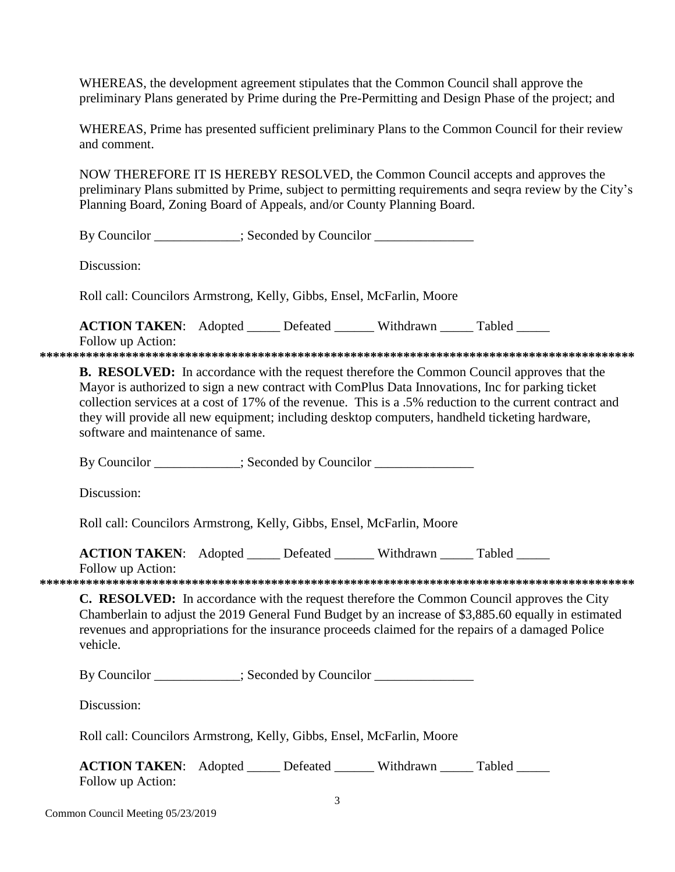WHEREAS, the development agreement stipulates that the Common Council shall approve the preliminary Plans generated by Prime during the Pre-Permitting and Design Phase of the project; and

WHEREAS, Prime has presented sufficient preliminary Plans to the Common Council for their review and comment.

NOW THEREFORE IT IS HEREBY RESOLVED, the Common Council accepts and approves the preliminary Plans submitted by Prime, subject to permitting requirements and segra review by the City's Planning Board, Zoning Board of Appeals, and/or County Planning Board.

By Councilor \_\_\_\_\_\_\_\_\_\_; Seconded by Councilor \_\_\_\_\_\_\_\_\_\_\_\_\_\_\_

Discussion:

Roll call: Councilors Armstrong, Kelly, Gibbs, Ensel, McFarlin, Moore

ACTION TAKEN: Adopted \_\_\_\_\_ Defeated \_\_\_\_\_\_ Withdrawn \_\_\_\_\_ Tabled \_\_\_\_\_

Follow up Action: 

**B. RESOLVED:** In accordance with the request therefore the Common Council approves that the Mayor is authorized to sign a new contract with ComPlus Data Innovations, Inc for parking ticket collection services at a cost of 17% of the revenue. This is a .5% reduction to the current contract and they will provide all new equipment; including desktop computers, handheld ticketing hardware, software and maintenance of same.

By Councilor \_\_\_\_\_\_\_\_\_\_\_; Seconded by Councilor \_\_\_\_\_\_\_\_\_\_\_\_\_\_\_\_\_\_\_\_\_\_\_\_\_\_\_\_\_\_\_\_

Discussion:

Roll call: Councilors Armstrong, Kelly, Gibbs, Ensel, McFarlin, Moore

**ACTION TAKEN:** Adopted \_\_\_\_\_ Defeated \_\_\_\_ Withdrawn Tabled

Follow up Action:

C. RESOLVED: In accordance with the request therefore the Common Council approves the City Chamberlain to adjust the 2019 General Fund Budget by an increase of \$3,885.60 equally in estimated revenues and appropriations for the insurance proceeds claimed for the repairs of a damaged Police vehicle.

By Councilor \_\_\_\_\_\_\_\_\_\_; Seconded by Councilor \_\_\_\_\_\_\_\_\_\_\_\_\_\_\_\_\_\_\_\_\_\_\_\_\_\_\_\_\_\_\_\_\_

Discussion:

Roll call: Councilors Armstrong, Kelly, Gibbs, Ensel, McFarlin, Moore

| <b>ACTION TAKEN:</b> Adopted | Defeated | Withdrawn | Tabled |
|------------------------------|----------|-----------|--------|
| Follow up Action:            |          |           |        |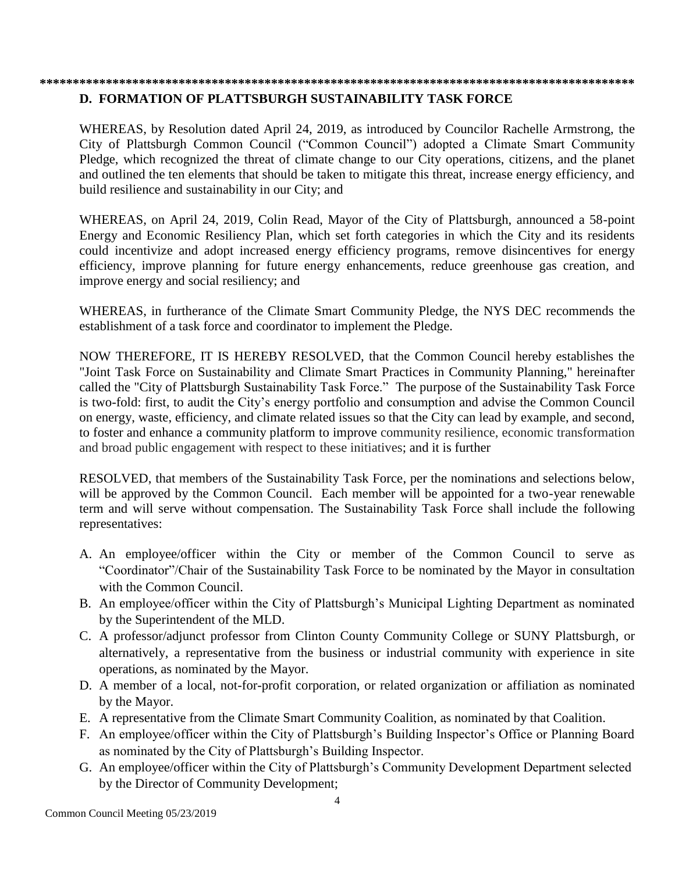### **\*\*\*\*\*\*\*\*\*\*\*\*\*\*\*\*\*\*\*\*\*\*\*\*\*\*\*\*\*\*\*\*\*\*\*\*\*\*\*\*\*\*\*\*\*\*\*\*\*\*\*\*\*\*\*\*\*\*\*\*\*\*\*\*\*\*\*\*\*\*\*\*\*\*\*\*\*\*\*\*\*\*\*\*\*\*\*\*\*\***

### **D. FORMATION OF PLATTSBURGH SUSTAINABILITY TASK FORCE**

WHEREAS, by Resolution dated April 24, 2019, as introduced by Councilor Rachelle Armstrong, the City of Plattsburgh Common Council ("Common Council") adopted a Climate Smart Community Pledge, which recognized the threat of climate change to our City operations, citizens, and the planet and outlined the ten elements that should be taken to mitigate this threat, increase energy efficiency, and build resilience and sustainability in our City; and

WHEREAS, on April 24, 2019, Colin Read, Mayor of the City of Plattsburgh, announced a 58-point Energy and Economic Resiliency Plan, which set forth categories in which the City and its residents could incentivize and adopt increased energy efficiency programs, remove disincentives for energy efficiency, improve planning for future energy enhancements, reduce greenhouse gas creation, and improve energy and social resiliency; and

WHEREAS, in furtherance of the Climate Smart Community Pledge, the NYS DEC recommends the establishment of a task force and coordinator to implement the Pledge.

NOW THEREFORE, IT IS HEREBY RESOLVED, that the Common Council hereby establishes the "Joint Task Force on Sustainability and Climate Smart Practices in Community Planning," hereinafter called the "City of Plattsburgh Sustainability Task Force." The purpose of the Sustainability Task Force is two-fold: first, to audit the City's energy portfolio and consumption and advise the Common Council on energy, waste, efficiency, and climate related issues so that the City can lead by example, and second, to foster and enhance a community platform to improve community resilience, economic transformation and broad public engagement with respect to these initiatives; and it is further

RESOLVED, that members of the Sustainability Task Force, per the nominations and selections below, will be approved by the Common Council. Each member will be appointed for a two-year renewable term and will serve without compensation. The Sustainability Task Force shall include the following representatives:

- A. An employee/officer within the City or member of the Common Council to serve as "Coordinator"/Chair of the Sustainability Task Force to be nominated by the Mayor in consultation with the Common Council.
- B. An employee/officer within the City of Plattsburgh's Municipal Lighting Department as nominated by the Superintendent of the MLD.
- C. A professor/adjunct professor from Clinton County Community College or SUNY Plattsburgh, or alternatively, a representative from the business or industrial community with experience in site operations, as nominated by the Mayor.
- D. A member of a local, not-for-profit corporation, or related organization or affiliation as nominated by the Mayor.
- E. A representative from the Climate Smart Community Coalition, as nominated by that Coalition.
- F. An employee/officer within the City of Plattsburgh's Building Inspector's Office or Planning Board as nominated by the City of Plattsburgh's Building Inspector.
- G. An employee/officer within the City of Plattsburgh's Community Development Department selected by the Director of Community Development;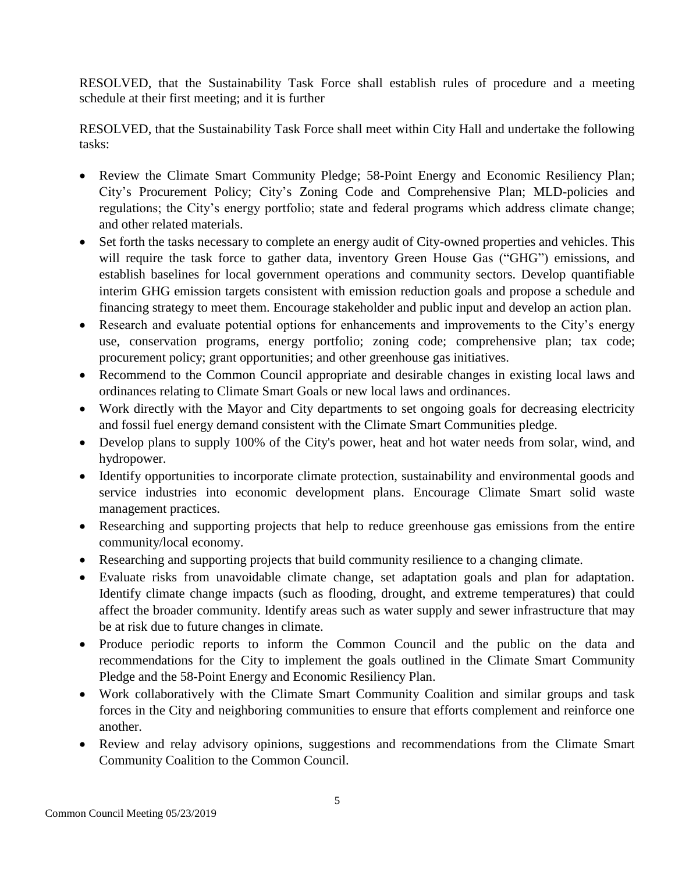RESOLVED, that the Sustainability Task Force shall establish rules of procedure and a meeting schedule at their first meeting; and it is further

RESOLVED, that the Sustainability Task Force shall meet within City Hall and undertake the following tasks:

- Review the Climate Smart Community Pledge; 58-Point Energy and Economic Resiliency Plan; City's Procurement Policy; City's Zoning Code and Comprehensive Plan; MLD-policies and regulations; the City's energy portfolio; state and federal programs which address climate change; and other related materials.
- Set forth the tasks necessary to complete an energy audit of City-owned properties and vehicles. This will require the task force to gather data, inventory Green House Gas ("GHG") emissions, and establish baselines for local government operations and community sectors. Develop quantifiable interim GHG emission targets consistent with emission reduction goals and propose a schedule and financing strategy to meet them. Encourage stakeholder and public input and develop an action plan.
- Research and evaluate potential options for enhancements and improvements to the City's energy use, conservation programs, energy portfolio; zoning code; comprehensive plan; tax code; procurement policy; grant opportunities; and other greenhouse gas initiatives.
- Recommend to the Common Council appropriate and desirable changes in existing local laws and ordinances relating to Climate Smart Goals or new local laws and ordinances.
- Work directly with the Mayor and City departments to set ongoing goals for decreasing electricity and fossil fuel energy demand consistent with the Climate Smart Communities pledge.
- Develop plans to supply 100% of the City's power, heat and hot water needs from solar, wind, and hydropower.
- Identify opportunities to incorporate climate protection, sustainability and environmental goods and service industries into economic development plans. Encourage Climate Smart solid waste management practices.
- Researching and supporting projects that help to reduce greenhouse gas emissions from the entire community/local economy.
- Researching and supporting projects that build community resilience to a changing climate.
- Evaluate risks from unavoidable climate change, set adaptation goals and plan for adaptation. Identify climate change impacts (such as flooding, drought, and extreme temperatures) that could affect the broader community. Identify areas such as water supply and sewer infrastructure that may be at risk due to future changes in climate.
- Produce periodic reports to inform the Common Council and the public on the data and recommendations for the City to implement the goals outlined in the Climate Smart Community Pledge and the 58-Point Energy and Economic Resiliency Plan.
- Work collaboratively with the Climate Smart Community Coalition and similar groups and task forces in the City and neighboring communities to ensure that efforts complement and reinforce one another.
- Review and relay advisory opinions, suggestions and recommendations from the Climate Smart Community Coalition to the Common Council.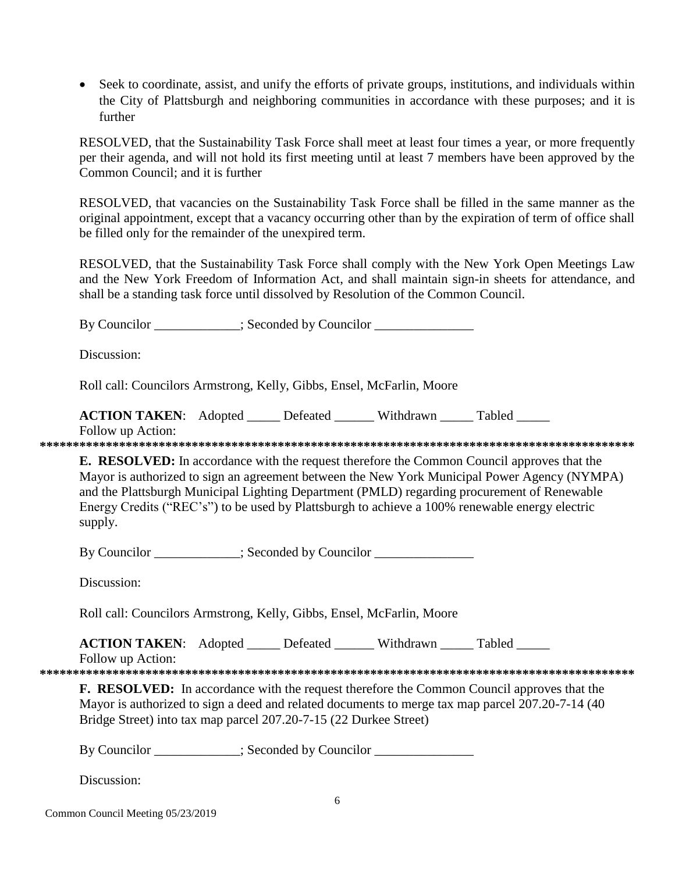Seek to coordinate, assist, and unify the efforts of private groups, institutions, and individuals within the City of Plattsburgh and neighboring communities in accordance with these purposes; and it is further

RESOLVED, that the Sustainability Task Force shall meet at least four times a year, or more frequently per their agenda, and will not hold its first meeting until at least 7 members have been approved by the Common Council; and it is further

RESOLVED, that vacancies on the Sustainability Task Force shall be filled in the same manner as the original appointment, except that a vacancy occurring other than by the expiration of term of office shall be filled only for the remainder of the unexpired term.

RESOLVED, that the Sustainability Task Force shall comply with the New York Open Meetings Law and the New York Freedom of Information Act, and shall maintain sign-in sheets for attendance, and shall be a standing task force until dissolved by Resolution of the Common Council.

By Councilor \_\_\_\_\_\_\_\_\_\_\_\_; Seconded by Councilor

Discussion:

Roll call: Councilors Armstrong, Kelly, Gibbs, Ensel, McFarlin, Moore

**ACTION TAKEN:** Adopted \_\_\_\_\_\_ Defeated \_\_\_\_\_\_ Withdrawn Tabled

Follow up Action: **\*\*\*\*\*\*\*\*\*\*\*\*\*\*\*\*\*\*\*\*\*\*\*\*\*\*\*\*\*\*\*\*\*\*\*\*\*\*\*\*\*\*\*\*\*\*\*\*\*\*\*\*\*\*\*\*\*\*\*\*\*\*\*\*\*\*\*\*\*\*\*\*\*\*\*\*\*\*\*\*\*\*\*\*\*\*\*\*\*\***

**E. RESOLVED:** In accordance with the request therefore the Common Council approves that the Mayor is authorized to sign an agreement between the New York Municipal Power Agency (NYMPA) and the Plattsburgh Municipal Lighting Department (PMLD) regarding procurement of Renewable Energy Credits ("REC's") to be used by Plattsburgh to achieve a 100% renewable energy electric supply.

By Councilor \_\_\_\_\_\_\_\_\_\_; Seconded by Councilor \_\_\_\_\_\_\_\_\_\_\_\_\_\_\_\_\_\_\_\_\_\_\_\_\_\_\_\_\_\_\_\_\_

Discussion:

Roll call: Councilors Armstrong, Kelly, Gibbs, Ensel, McFarlin, Moore

**ACTION TAKEN:** Adopted Defeated Withdrawn Tabled

Follow up Action:

**\*\*\*\*\*\*\*\*\*\*\*\*\*\*\*\*\*\*\*\*\*\*\*\*\*\*\*\*\*\*\*\*\*\*\*\*\*\*\*\*\*\*\*\*\*\*\*\*\*\*\*\*\*\*\*\*\*\*\*\*\*\*\*\*\*\*\*\*\*\*\*\*\*\*\*\*\*\*\*\*\*\*\*\*\*\*\*\*\*\***

**F. RESOLVED:** In accordance with the request therefore the Common Council approves that the Mayor is authorized to sign a deed and related documents to merge tax map parcel 207.20-7-14 (40 Bridge Street) into tax map parcel 207.20-7-15 (22 Durkee Street)

By Councilor \_\_\_\_\_\_\_\_\_\_; Seconded by Councilor \_\_\_\_\_\_\_\_\_\_\_\_\_\_\_\_\_\_\_\_\_\_\_\_\_\_\_\_\_\_\_\_\_

Discussion: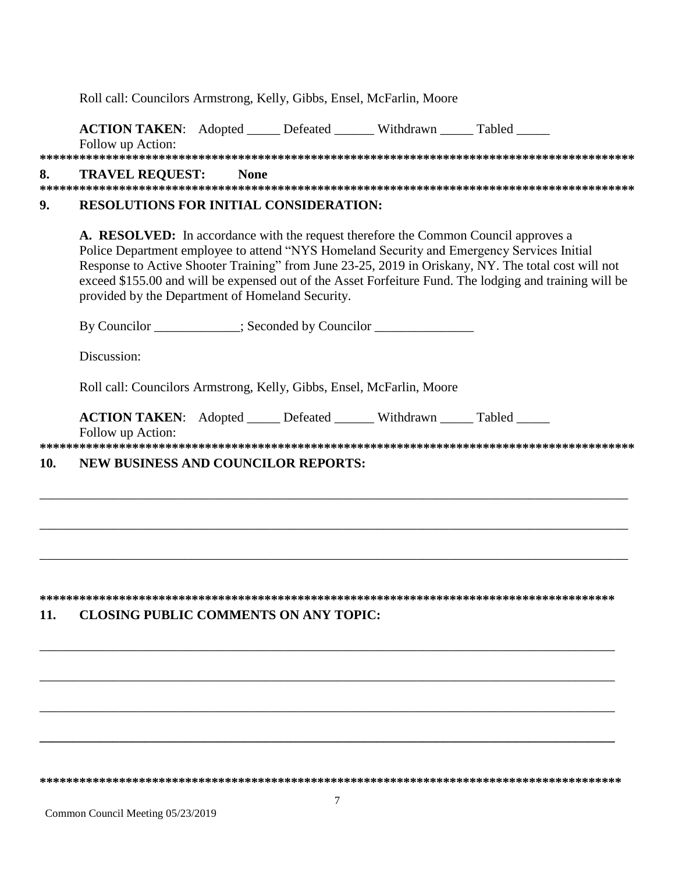|     | Roll call: Councilors Armstrong, Kelly, Gibbs, Ensel, McFarlin, Moore                                                                                                                                                                                                                                                                                                                                                                                   |
|-----|---------------------------------------------------------------------------------------------------------------------------------------------------------------------------------------------------------------------------------------------------------------------------------------------------------------------------------------------------------------------------------------------------------------------------------------------------------|
|     | ACTION TAKEN: Adopted _____ Defeated ______ Withdrawn _____ Tabled _____<br>Follow up Action:                                                                                                                                                                                                                                                                                                                                                           |
| 8.  | <b>TRAVEL REQUEST:</b><br><b>None</b>                                                                                                                                                                                                                                                                                                                                                                                                                   |
| 9.  | <b>RESOLUTIONS FOR INITIAL CONSIDERATION:</b>                                                                                                                                                                                                                                                                                                                                                                                                           |
|     | A. RESOLVED: In accordance with the request therefore the Common Council approves a<br>Police Department employee to attend "NYS Homeland Security and Emergency Services Initial<br>Response to Active Shooter Training" from June 23-25, 2019 in Oriskany, NY. The total cost will not<br>exceed \$155.00 and will be expensed out of the Asset Forfeiture Fund. The lodging and training will be<br>provided by the Department of Homeland Security. |
|     | By Councilor __________; Seconded by Councilor ______________                                                                                                                                                                                                                                                                                                                                                                                           |
|     | Discussion:                                                                                                                                                                                                                                                                                                                                                                                                                                             |
|     | Roll call: Councilors Armstrong, Kelly, Gibbs, Ensel, McFarlin, Moore                                                                                                                                                                                                                                                                                                                                                                                   |
|     | ACTION TAKEN: Adopted _____ Defeated ______ Withdrawn _____ Tabled _____<br>Follow up Action:                                                                                                                                                                                                                                                                                                                                                           |
| 10. | <b>NEW BUSINESS AND COUNCILOR REPORTS:</b>                                                                                                                                                                                                                                                                                                                                                                                                              |
|     |                                                                                                                                                                                                                                                                                                                                                                                                                                                         |
|     |                                                                                                                                                                                                                                                                                                                                                                                                                                                         |
|     |                                                                                                                                                                                                                                                                                                                                                                                                                                                         |
| 11. | <b>CLOSING PUBLIC COMMENTS ON ANY TOPIC:</b>                                                                                                                                                                                                                                                                                                                                                                                                            |
|     |                                                                                                                                                                                                                                                                                                                                                                                                                                                         |
|     |                                                                                                                                                                                                                                                                                                                                                                                                                                                         |
|     |                                                                                                                                                                                                                                                                                                                                                                                                                                                         |
|     |                                                                                                                                                                                                                                                                                                                                                                                                                                                         |
|     |                                                                                                                                                                                                                                                                                                                                                                                                                                                         |